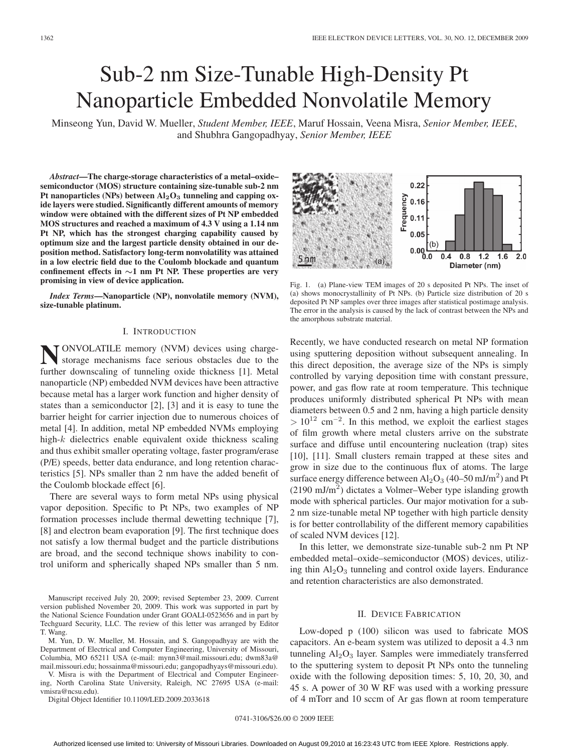# Sub-2 nm Size-Tunable High-Density Pt Nanoparticle Embedded Nonvolatile Memory

Minseong Yun, David W. Mueller, *Student Member, IEEE*, Maruf Hossain, Veena Misra, *Senior Member, IEEE*, and Shubhra Gangopadhyay, *Senior Member, IEEE*

*Abstract***—The charge-storage characteristics of a metal–oxide– semiconductor (MOS) structure containing size-tunable sub-2 nm** Pt nanoparticles (NPs) between  $Al_2O_3$  **tunneling and capping oxide layers were studied. Significantly different amounts of memory window were obtained with the different sizes of Pt NP embedded MOS structures and reached a maximum of 4.3 V using a 1.14 nm Pt NP, which has the strongest charging capability caused by optimum size and the largest particle density obtained in our deposition method. Satisfactory long-term nonvolatility was attained in a low electric field due to the Coulomb blockade and quantum confinement effects in** *∼***1 nm Pt NP. These properties are very promising in view of device application.**

*Index Terms***—Nanoparticle (NP), nonvolatile memory (NVM), size-tunable platinum.**

# I. INTRODUCTION

**NONVOLATILE** memory (NVM) devices using charge-<br>storage mechanisms face serious obstacles due to the further downscaling of tunneling oxide thickness [1]. Metal nanoparticle (NP) embedded NVM devices have been attractive because metal has a larger work function and higher density of states than a semiconductor [2], [3] and it is easy to tune the barrier height for carrier injection due to numerous choices of metal [4]. In addition, metal NP embedded NVMs employing high-k dielectrics enable equivalent oxide thickness scaling and thus exhibit smaller operating voltage, faster program/erase (P/E) speeds, better data endurance, and long retention characteristics [5]. NPs smaller than 2 nm have the added benefit of the Coulomb blockade effect [6].

There are several ways to form metal NPs using physical vapor deposition. Specific to Pt NPs, two examples of NP formation processes include thermal dewetting technique [7], [8] and electron beam evaporation [9]. The first technique does not satisfy a low thermal budget and the particle distributions are broad, and the second technique shows inability to control uniform and spherically shaped NPs smaller than 5 nm.

Manuscript received July 20, 2009; revised September 23, 2009. Current version published November 20, 2009. This work was supported in part by the National Science Foundation under Grant GOALI-0523656 and in part by Techguard Security, LLC. The review of this letter was arranged by Editor T. Wang.

M. Yun, D. W. Mueller, M. Hossain, and S. Gangopadhyay are with the Department of Electrical and Computer Engineering, University of Missouri, Columbia, MO 65211 USA (e-mail: mynn3@mail.missouri.edu; dwm83a@ mail.missouri.edu; hossainma@missouri.edu; gangopadhyays@missouri.edu).

V. Misra is with the Department of Electrical and Computer Engineering, North Carolina State University, Raleigh, NC 27695 USA (e-mail: vmisra@ncsu.edu).

Digital Object Identifier 10.1109/LED.2009.2033618



Fig. 1. (a) Plane-view TEM images of 20 s deposited Pt NPs. The inset of (a) shows monocrystallinity of Pt NPs. (b) Particle size distribution of 20 s deposited Pt NP samples over three images after statistical postimage analysis. The error in the analysis is caused by the lack of contrast between the NPs and the amorphous substrate material.

Recently, we have conducted research on metal NP formation using sputtering deposition without subsequent annealing. In this direct deposition, the average size of the NPs is simply controlled by varying deposition time with constant pressure, power, and gas flow rate at room temperature. This technique produces uniformly distributed spherical Pt NPs with mean diameters between 0.5 and 2 nm, having a high particle density  $> 10^{12}$  cm<sup>-2</sup>. In this method, we exploit the earliest stages of film growth where metal clusters arrive on the substrate surface and diffuse until encountering nucleation (trap) sites [10], [11]. Small clusters remain trapped at these sites and grow in size due to the continuous flux of atoms. The large surface energy difference between  $Al_2O_3$  (40–50 mJ/m<sup>2</sup>) and Pt  $(2190 \text{ mJ/m}^2)$  dictates a Volmer–Weber type islanding growth mode with spherical particles. Our major motivation for a sub-2 nm size-tunable metal NP together with high particle density is for better controllability of the different memory capabilities of scaled NVM devices [12].

In this letter, we demonstrate size-tunable sub-2 nm Pt NP embedded metal–oxide–semiconductor (MOS) devices, utilizing thin  $Al_2O_3$  tunneling and control oxide layers. Endurance and retention characteristics are also demonstrated.

# II. DEVICE FABRICATION

Low-doped p (100) silicon was used to fabricate MOS capacitors. An e-beam system was utilized to deposit a 4.3 nm tunneling  $Al_2O_3$  layer. Samples were immediately transferred to the sputtering system to deposit Pt NPs onto the tunneling oxide with the following deposition times: 5, 10, 20, 30, and 45 s. A power of 30 W RF was used with a working pressure of 4 mTorr and 10 sccm of Ar gas flown at room temperature

0741-3106/\$26.00 © 2009 IEEE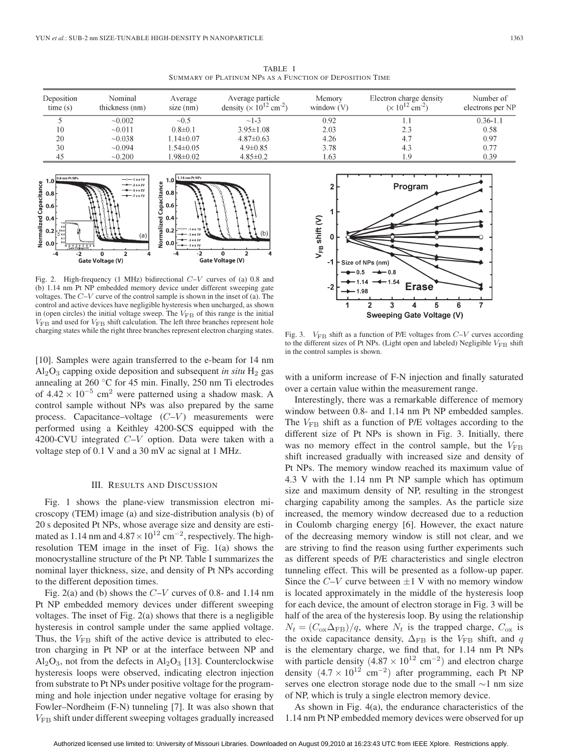TABLE I SUMMARY OF PLATINUM NPs AS A FUNCTION OF DEPOSITION TIME

| Deposition<br>time(s) | Nominal<br>thickness (nm) | Average<br>$size$ (nm) | Average particle<br>density ( $\times 10^{12}$ cm <sup>-2</sup> ) | Memory<br>window $(V)$ | Electron charge density<br>$(x 10^{12}$ cm <sup>-2</sup> ) | Number of<br>electrons per NP |
|-----------------------|---------------------------|------------------------|-------------------------------------------------------------------|------------------------|------------------------------------------------------------|-------------------------------|
|                       | $\sim 0.002$              | ~10.5                  | $~1 - 3$                                                          | 0.92                   |                                                            | $0.36 - 1.1$                  |
| 10                    | $\sim 0.011$              | $0.8 \pm 0.1$          | $3.95 \pm 1.08$                                                   | 2.03                   | 2.3                                                        | 0.58                          |
| 20                    | ~10.038                   | $1.14 \pm 0.07$        | $4.87 \pm 0.63$                                                   | 4.26                   | 4.7                                                        | 0.97                          |
| 30                    | $\sim 0.094$              | $.54\pm0.05$           | $4.9 \pm 0.85$                                                    | 3.78                   | 4.3                                                        | 0.77                          |
| 45                    | $\sim 0.200$              | $.98 \pm 0.02$         | $4.85 \pm 0.2$                                                    | .63                    | -9                                                         | 0.39                          |



Fig. 2. High-frequency (1 MHz) bidirectional  $C-V$  curves of (a) 0.8 and (b) 1.14 nm Pt NP embedded memory device under different sweeping gate voltages. The  $C-V$  curve of the control sample is shown in the inset of (a). The control and active devices have negligible hysteresis when uncharged, as shown in (open circles) the initial voltage sweep. The  $V_{FB}$  of this range is the initial  $V_{\text{FB}}$  and used for  $V_{\text{FB}}$  shift calculation. The left three branches represent hole charging states while the right three branches represent electron charging states.

[10]. Samples were again transferred to the e-beam for 14 nm  $Al_2O_3$  capping oxide deposition and subsequent *in situ*  $H_2$  gas annealing at 260 ◦C for 45 min. Finally, 250 nm Ti electrodes of  $4.42 \times 10^{-5}$  cm<sup>2</sup> were patterned using a shadow mask. A control sample without NPs was also prepared by the same process. Capacitance–voltage  $(C-V)$  measurements were performed using a Keithley 4200-SCS equipped with the 4200-CVU integrated C–V option. Data were taken with a voltage step of 0.1 V and a 30 mV ac signal at 1 MHz.

### III. RESULTS AND DISCUSSION

Fig. 1 shows the plane-view transmission electron microscopy (TEM) image (a) and size-distribution analysis (b) of 20 s deposited Pt NPs, whose average size and density are estimated as 1.14 nm and  $4.87 \times 10^{12}$  cm<sup>-2</sup>, respectively. The highresolution TEM image in the inset of Fig. 1(a) shows the monocrystalline structure of the Pt NP. Table I summarizes the nominal layer thickness, size, and density of Pt NPs according to the different deposition times.

Fig. 2(a) and (b) shows the  $C-V$  curves of 0.8- and 1.14 nm Pt NP embedded memory devices under different sweeping voltages. The inset of Fig. 2(a) shows that there is a negligible hysteresis in control sample under the same applied voltage. Thus, the  $V_{\text{FB}}$  shift of the active device is attributed to electron charging in Pt NP or at the interface between NP and  $Al_2O_3$ , not from the defects in  $Al_2O_3$  [13]. Counterclockwise hysteresis loops were observed, indicating electron injection from substrate to Pt NPs under positive voltage for the programming and hole injection under negative voltage for erasing by Fowler–Nordheim (F-N) tunneling [7]. It was also shown that VFB shift under different sweeping voltages gradually increased



Fig. 3.  $V_{\text{FB}}$  shift as a function of P/E voltages from  $C-V$  curves according to the different sizes of Pt NPs. (Light open and labeled) Negligible  $V_{\text{FB}}$  shift in the control samples is shown.

with a uniform increase of F-N injection and finally saturated over a certain value within the measurement range.

Interestingly, there was a remarkable difference of memory window between 0.8- and 1.14 nm Pt NP embedded samples. The  $V_{\text{FB}}$  shift as a function of P/E voltages according to the different size of Pt NPs is shown in Fig. 3. Initially, there was no memory effect in the control sample, but the  $V_{\text{FB}}$ shift increased gradually with increased size and density of Pt NPs. The memory window reached its maximum value of 4.3 V with the 1.14 nm Pt NP sample which has optimum size and maximum density of NP, resulting in the strongest charging capability among the samples. As the particle size increased, the memory window decreased due to a reduction in Coulomb charging energy [6]. However, the exact nature of the decreasing memory window is still not clear, and we are striving to find the reason using further experiments such as different speeds of P/E characteristics and single electron tunneling effect. This will be presented as a follow-up paper. Since the  $C-V$  curve between  $\pm 1$  V with no memory window is located approximately in the middle of the hysteresis loop for each device, the amount of electron storage in Fig. 3 will be half of the area of the hysteresis loop. By using the relationship  $N_t = (C_{\text{ox}} \Delta_{\text{FB}})/q$ , where  $N_t$  is the trapped charge,  $C_{\text{ox}}$  is the oxide capacitance density,  $\Delta_{\text{FB}}$  is the  $V_{\text{FB}}$  shift, and q is the elementary charge, we find that, for 1.14 nm Pt NPs with particle density (4.87 ×  $10^{12}$  cm<sup>-2</sup>) and electron charge density  $(4.7 \times 10^{12} \text{ cm}^{-2})$  after programming, each Pt NP serves one electron storage node due to the small ∼1 nm size of NP, which is truly a single electron memory device.

As shown in Fig. 4(a), the endurance characteristics of the 1.14 nm Pt NP embedded memory devices were observed for up